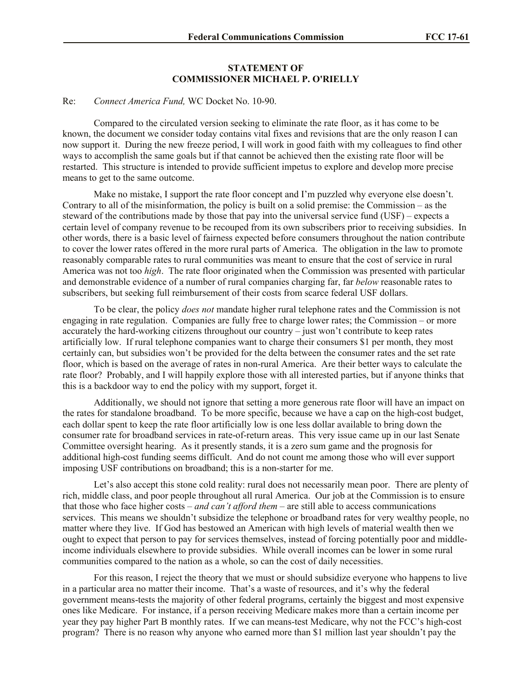## **STATEMENT OF COMMISSIONER MICHAEL P. O'RIELLY**

## Re: *Connect America Fund,* WC Docket No. 10-90.

Compared to the circulated version seeking to eliminate the rate floor, as it has come to be known, the document we consider today contains vital fixes and revisions that are the only reason I can now support it. During the new freeze period, I will work in good faith with my colleagues to find other ways to accomplish the same goals but if that cannot be achieved then the existing rate floor will be restarted. This structure is intended to provide sufficient impetus to explore and develop more precise means to get to the same outcome.

Make no mistake, I support the rate floor concept and I'm puzzled why everyone else doesn't. Contrary to all of the misinformation, the policy is built on a solid premise: the Commission – as the steward of the contributions made by those that pay into the universal service fund (USF) – expects a certain level of company revenue to be recouped from its own subscribers prior to receiving subsidies. In other words, there is a basic level of fairness expected before consumers throughout the nation contribute to cover the lower rates offered in the more rural parts of America. The obligation in the law to promote reasonably comparable rates to rural communities was meant to ensure that the cost of service in rural America was not too *high*. The rate floor originated when the Commission was presented with particular and demonstrable evidence of a number of rural companies charging far, far *below* reasonable rates to subscribers, but seeking full reimbursement of their costs from scarce federal USF dollars.

To be clear, the policy *does not* mandate higher rural telephone rates and the Commission is not engaging in rate regulation. Companies are fully free to charge lower rates; the Commission – or more accurately the hard-working citizens throughout our country – just won't contribute to keep rates artificially low. If rural telephone companies want to charge their consumers \$1 per month, they most certainly can, but subsidies won't be provided for the delta between the consumer rates and the set rate floor, which is based on the average of rates in non-rural America. Are their better ways to calculate the rate floor? Probably, and I will happily explore those with all interested parties, but if anyone thinks that this is a backdoor way to end the policy with my support, forget it.

Additionally, we should not ignore that setting a more generous rate floor will have an impact on the rates for standalone broadband. To be more specific, because we have a cap on the high-cost budget, each dollar spent to keep the rate floor artificially low is one less dollar available to bring down the consumer rate for broadband services in rate-of-return areas. This very issue came up in our last Senate Committee oversight hearing. As it presently stands, it is a zero sum game and the prognosis for additional high-cost funding seems difficult. And do not count me among those who will ever support imposing USF contributions on broadband; this is a non-starter for me.

Let's also accept this stone cold reality: rural does not necessarily mean poor. There are plenty of rich, middle class, and poor people throughout all rural America. Our job at the Commission is to ensure that those who face higher costs – *and can't afford them* – are still able to access communications services. This means we shouldn't subsidize the telephone or broadband rates for very wealthy people, no matter where they live. If God has bestowed an American with high levels of material wealth then we ought to expect that person to pay for services themselves, instead of forcing potentially poor and middleincome individuals elsewhere to provide subsidies. While overall incomes can be lower in some rural communities compared to the nation as a whole, so can the cost of daily necessities.

For this reason, I reject the theory that we must or should subsidize everyone who happens to live in a particular area no matter their income. That's a waste of resources, and it's why the federal government means-tests the majority of other federal programs, certainly the biggest and most expensive ones like Medicare. For instance, if a person receiving Medicare makes more than a certain income per year they pay higher Part B monthly rates. If we can means-test Medicare, why not the FCC's high-cost program? There is no reason why anyone who earned more than \$1 million last year shouldn't pay the